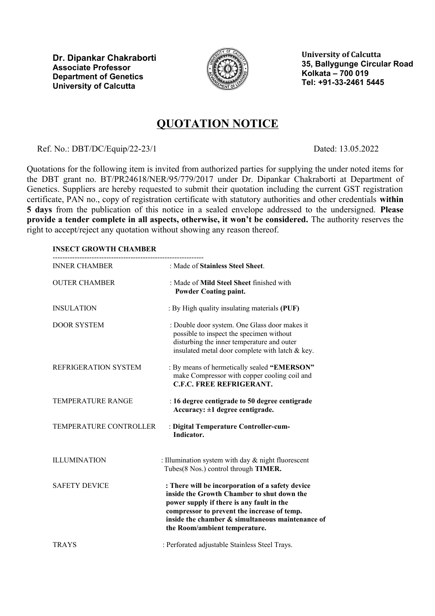**Dr. Dipankar Chakraborti Associate Professor Department of Genetics University of Calcutta**



**University of Calcutta 35, Ballygunge Circular Road Kolkata – 700 019 Tel: +91-33-2461 5445**

## **QUOTATION NOTICE**

Ref. No.: DBT/DC/Equip/22-23/1 Dated: 13.05.2022

Quotations for the following item is invited from authorized parties for supplying the under noted items for the DBT grant no. BT/PR24618/NER/95/779/2017 under Dr. Dipankar Chakraborti at Department of Genetics. Suppliers are hereby requested to submit their quotation including the current GST registration certificate, PAN no., copy of registration certificate with statutory authorities and other credentials **within 5 days** from the publication of this notice in a sealed envelope addressed to the undersigned. **Please provide a tender complete in all aspects, otherwise, it won't be considered.** The authority reserves the right to accept/reject any quotation without showing any reason thereof.

## **INSECT GROWTH CHAMBER**

| <b>INNER CHAMBER</b>     | : Made of Stainless Steel Sheet.                                                                                                                                                                                                                                                |
|--------------------------|---------------------------------------------------------------------------------------------------------------------------------------------------------------------------------------------------------------------------------------------------------------------------------|
| <b>OUTER CHAMBER</b>     | : Made of <b>Mild Steel Sheet</b> finished with<br><b>Powder Coating paint.</b>                                                                                                                                                                                                 |
| <b>INSULATION</b>        | : By High quality insulating materials (PUF)                                                                                                                                                                                                                                    |
| <b>DOOR SYSTEM</b>       | : Double door system. One Glass door makes it<br>possible to inspect the specimen without<br>disturbing the inner temperature and outer<br>insulated metal door complete with latch & key.                                                                                      |
| REFRIGERATION SYSTEM     | : By means of hermetically sealed "EMERSON"<br>make Compressor with copper cooling coil and<br><b>C.F.C. FREE REFRIGERANT.</b>                                                                                                                                                  |
| <b>TEMPERATURE RANGE</b> | : 16 degree centigrade to 50 degree centigrade<br>Accuracy: $\pm 1$ degree centigrade.                                                                                                                                                                                          |
| TEMPERATURE CONTROLLER   | : Digital Temperature Controller-cum-<br>Indicator.                                                                                                                                                                                                                             |
| <b>ILLUMINATION</b>      | : Illumination system with day $&$ night fluorescent<br>Tubes(8 Nos.) control through TIMER.                                                                                                                                                                                    |
| <b>SAFETY DEVICE</b>     | : There will be incorporation of a safety device<br>inside the Growth Chamber to shut down the<br>power supply if there is any fault in the<br>compressor to prevent the increase of temp.<br>inside the chamber & simultaneous maintenance of<br>the Room/ambient temperature. |
| <b>TRAYS</b>             | : Perforated adjustable Stainless Steel Trays.                                                                                                                                                                                                                                  |